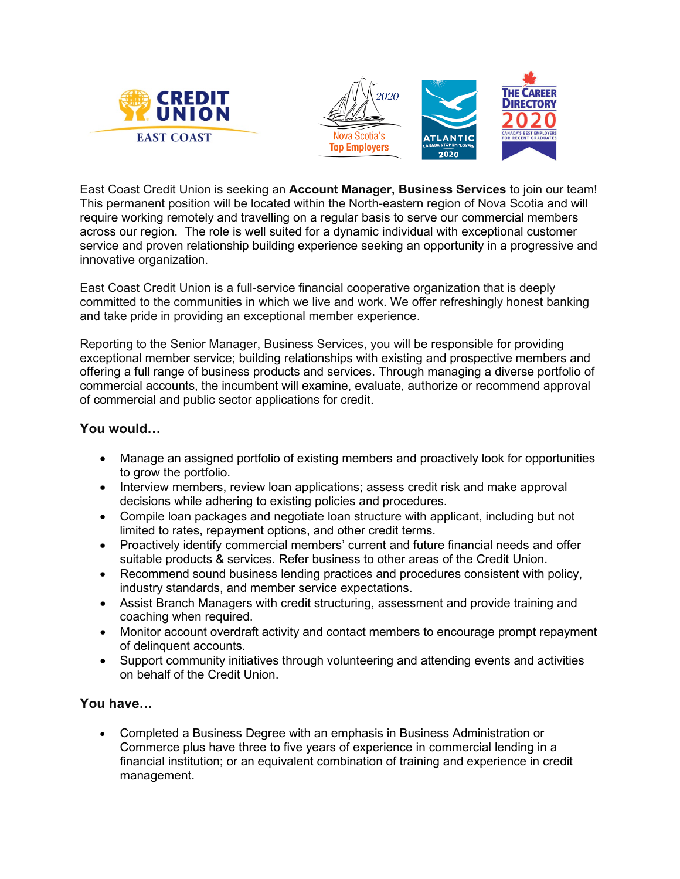



East Coast Credit Union is seeking an **Account Manager, Business Services** to join our team! This permanent position will be located within the North-eastern region of Nova Scotia and will require working remotely and travelling on a regular basis to serve our commercial members across our region. The role is well suited for a dynamic individual with exceptional customer service and proven relationship building experience seeking an opportunity in a progressive and innovative organization.

East Coast Credit Union is a full-service financial cooperative organization that is deeply committed to the communities in which we live and work. We offer refreshingly honest banking and take pride in providing an exceptional member experience.

Reporting to the Senior Manager, Business Services, you will be responsible for providing exceptional member service; building relationships with existing and prospective members and offering a full range of business products and services. Through managing a diverse portfolio of commercial accounts, the incumbent will examine, evaluate, authorize or recommend approval of commercial and public sector applications for credit.

## **You would…**

- Manage an assigned portfolio of existing members and proactively look for opportunities to grow the portfolio.
- Interview members, review loan applications; assess credit risk and make approval decisions while adhering to existing policies and procedures.
- Compile loan packages and negotiate loan structure with applicant, including but not limited to rates, repayment options, and other credit terms.
- Proactively identify commercial members' current and future financial needs and offer suitable products & services. Refer business to other areas of the Credit Union.
- Recommend sound business lending practices and procedures consistent with policy, industry standards, and member service expectations.
- Assist Branch Managers with credit structuring, assessment and provide training and coaching when required.
- Monitor account overdraft activity and contact members to encourage prompt repayment of delinquent accounts.
- Support community initiatives through volunteering and attending events and activities on behalf of the Credit Union.

## **You have…**

• Completed a Business Degree with an emphasis in Business Administration or Commerce plus have three to five years of experience in commercial lending in a financial institution; or an equivalent combination of training and experience in credit management.